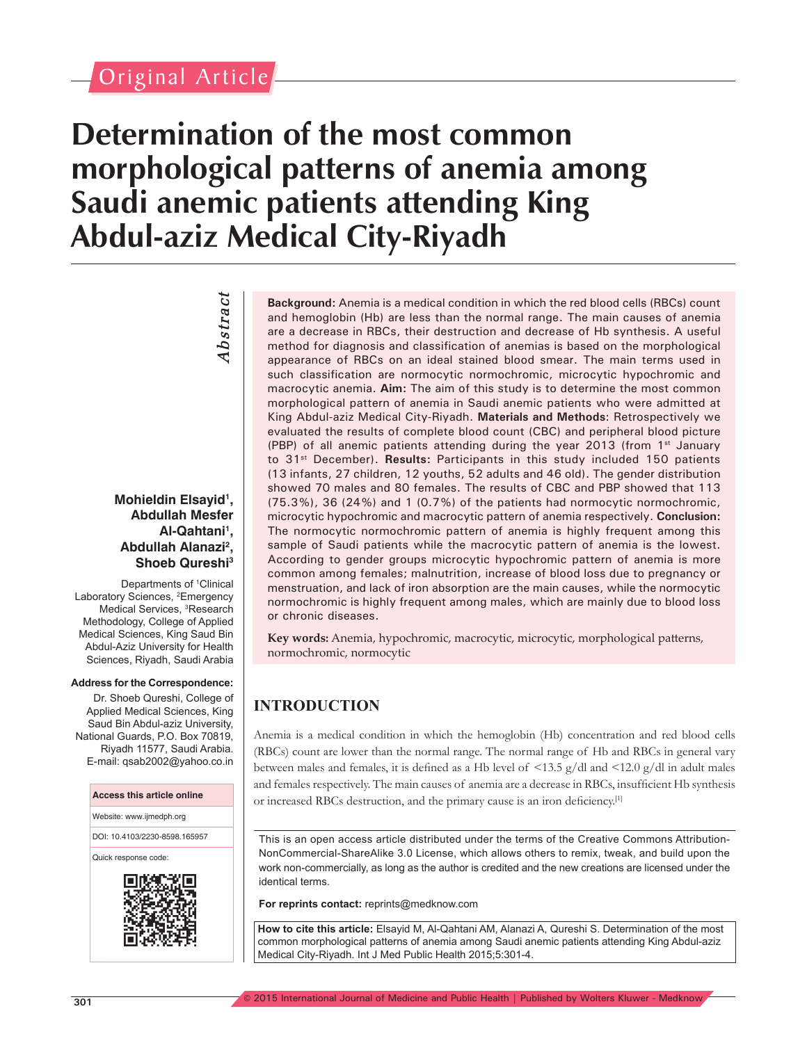# Original Article

# **Determination of the most common morphological patterns of anemia among Saudi anemic patients attending King Abdul-aziz Medical City-Riyadh**

*Abstract Abstract* 

#### **Mohieldin Elsayid1 , Abdullah Mesfer Al-Qahtani1 , Abdullah Alanazi2 , Shoeb Qureshi3**

Departments of <sup>1</sup>Clinical Laboratory Sciences, <sup>2</sup>Emergency Medical Services, <sup>3</sup>Research Methodology, College of Applied Medical Sciences, King Saud Bin Abdul-Aziz University for Health Sciences, Riyadh, Saudi Arabia

#### **Address for the Correspondence:**

Dr. Shoeb Qureshi, College of Applied Medical Sciences, King Saud Bin Abdul-aziz University, National Guards, P.O. Box 70819, Riyadh 11577, Saudi Arabia. E-mail: qsab2002@yahoo.co.in

#### **Access this article online**

Website: www.ijmedph.org

DOI: 10.4103/2230-8598.165957

Quick response code:



**Background:** Anemia is a medical condition in which the red blood cells (RBCs) count and hemoglobin (Hb) are less than the normal range. The main causes of anemia are a decrease in RBCs, their destruction and decrease of Hb synthesis. A useful method for diagnosis and classification of anemias is based on the morphological appearance of RBCs on an ideal stained blood smear. The main terms used in such classification are normocytic normochromic, microcytic hypochromic and macrocytic anemia. **Aim:** The aim of this study is to determine the most common morphological pattern of anemia in Saudi anemic patients who were admitted at King Abdul-aziz Medical City-Riyadh. **Materials and Methods**: Retrospectively we evaluated the results of complete blood count (CBC) and peripheral blood picture (PBP) of all anemic patients attending during the year 2013 (from  $1<sup>st</sup>$  January to 31<sup>st</sup> December). **Results:** Participants in this study included 150 patients (13 infants, 27 children, 12 youths, 52 adults and 46 old). The gender distribution showed 70 males and 80 females. The results of CBC and PBP showed that 113 (75.3%), 36 (24%) and 1 (0.7%) of the patients had normocytic normochromic, microcytic hypochromic and macrocytic pattern of anemia respectively. **Conclusion:** The normocytic normochromic pattern of anemia is highly frequent among this sample of Saudi patients while the macrocytic pattern of anemia is the lowest. According to gender groups microcytic hypochromic pattern of anemia is more common among females; malnutrition, increase of blood loss due to pregnancy or menstruation, and lack of iron absorption are the main causes, while the normocytic normochromic is highly frequent among males, which are mainly due to blood loss or chronic diseases.

**Key words:** Anemia, hypochromic, macrocytic, microcytic, morphological patterns, normochromic, normocytic

# **INTRODUCTION**

Anemia is a medical condition in which the hemoglobin (Hb) concentration and red blood cells (RBCs) count are lower than the normal range. The normal range of Hb and RBCs in general vary between males and females, it is defined as a Hb level of <13.5 g/dl and <12.0 g/dl in adult males and females respectively. The main causes of anemia are a decrease in RBCs, insufficient Hb synthesis or increased RBCs destruction, and the primary cause is an iron deficiency.[1]

This is an open access article distributed under the terms of the Creative Commons Attribution-NonCommercial-ShareAlike 3.0 License, which allows others to remix, tweak, and build upon the work non-commercially, as long as the author is credited and the new creations are licensed under the identical terms.

**For reprints contact:** reprints@medknow.com

**How to cite this article:** Elsayid M, Al-Qahtani AM, Alanazi A, Qureshi S. Determination of the most common morphological patterns of anemia among Saudi anemic patients attending King Abdul-aziz Medical City-Riyadh. Int J Med Public Health 2015;5:301-4.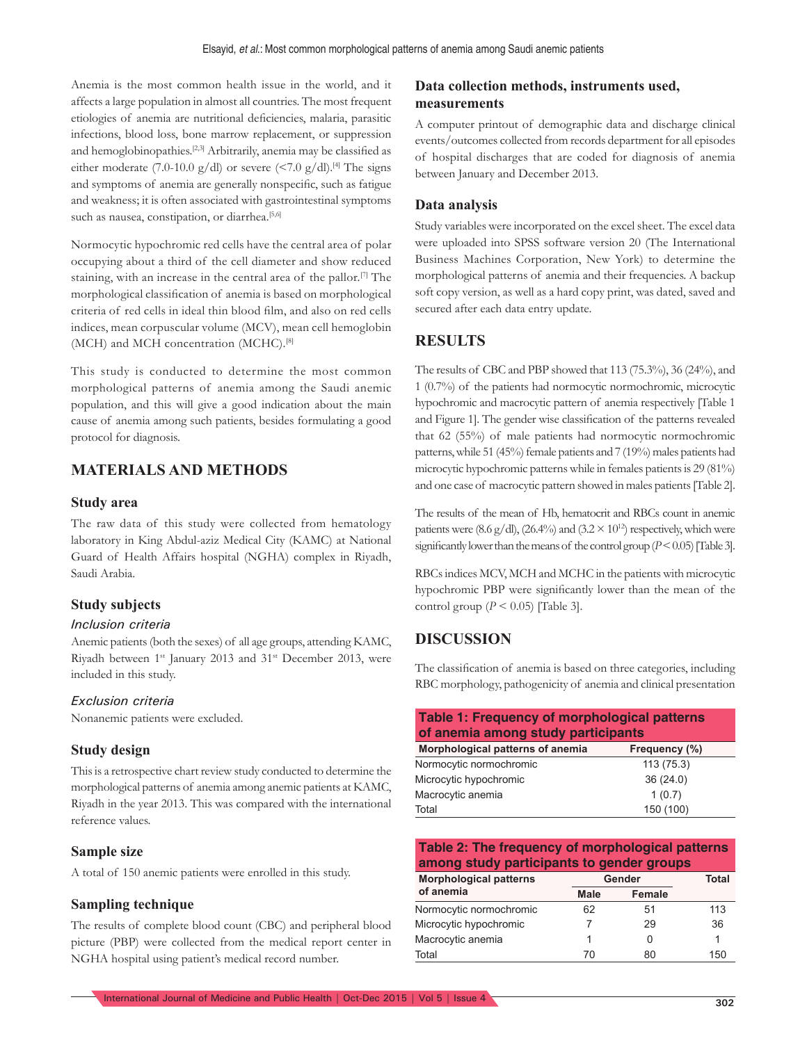Anemia is the most common health issue in the world, and it affects a large population in almost all countries. The most frequent etiologies of anemia are nutritional deficiencies, malaria, parasitic infections, blood loss, bone marrow replacement, or suppression and hemoglobinopathies.[2,3] Arbitrarily, anemia may be classified as either moderate (7.0-10.0 g/dl) or severe (<7.0 g/dl).<sup>[4]</sup> The signs and symptoms of anemia are generally nonspecific, such as fatigue and weakness; it is often associated with gastrointestinal symptoms such as nausea, constipation, or diarrhea.<sup>[5,6]</sup>

Normocytic hypochromic red cells have the central area of polar occupying about a third of the cell diameter and show reduced staining, with an increase in the central area of the pallor.<sup>[7]</sup> The morphological classification of anemia is based on morphological criteria of red cells in ideal thin blood film, and also on red cells indices, mean corpuscular volume (MCV), mean cell hemoglobin (MCH) and MCH concentration (MCHC).[8]

This study is conducted to determine the most common morphological patterns of anemia among the Saudi anemic population, and this will give a good indication about the main cause of anemia among such patients, besides formulating a good protocol for diagnosis.

# **Materials and Methods**

#### **Study area**

The raw data of this study were collected from hematology laboratory in King Abdul-aziz Medical City (KAMC) at National Guard of Health Affairs hospital (NGHA) complex in Riyadh, Saudi Arabia.

#### **Study subjects**

#### *Inclusion criteria*

Anemic patients (both the sexes) of all age groups, attending KAMC, Riyadh between 1<sup>st</sup> January 2013 and 31<sup>st</sup> December 2013, were included in this study.

#### *Exclusion criteria*

Nonanemic patients were excluded.

#### **Study design**

This is a retrospective chart review study conducted to determine the morphological patterns of anemia among anemic patients at KAMC, Riyadh in the year 2013. This was compared with the international reference values.

#### **Sample size**

A total of 150 anemic patients were enrolled in this study.

#### **Sampling technique**

The results of complete blood count (CBC) and peripheral blood picture (PBP) were collected from the medical report center in NGHA hospital using patient's medical record number.

#### **Data collection methods, instruments used, measurements**

A computer printout of demographic data and discharge clinical events/outcomes collected from records department for all episodes of hospital discharges that are coded for diagnosis of anemia between January and December 2013.

#### **Data analysis**

Study variables were incorporated on the excel sheet. The excel data were uploaded into SPSS software version 20 (The International Business Machines Corporation, New York) to determine the morphological patterns of anemia and their frequencies. A backup soft copy version, as well as a hard copy print, was dated, saved and secured after each data entry update.

### **RESULTS**

The results of CBC and PBP showed that 113 (75.3%), 36 (24%), and 1 (0.7%) of the patients had normocytic normochromic, microcytic hypochromic and macrocytic pattern of anemia respectively [Table 1 and Figure 1]. The gender wise classification of the patterns revealed that 62 (55%) of male patients had normocytic normochromic patterns, while 51 (45%) female patients and 7 (19%) males patients had microcytic hypochromic patterns while in females patients is 29 (81%) and one case of macrocytic pattern showed in males patients [Table 2].

The results of the mean of Hb, hematocrit and RBCs count in anemic patients were (8.6 g/dl), (26.4%) and (3.2  $\times$  10<sup>12</sup>) respectively, which were significantly lower than the means of the control group  $(P < 0.05)$  [Table 3].

RBCs indices MCV, MCH and MCHC in the patients with microcytic hypochromic PBP were significantly lower than the mean of the control group ( $P \le 0.05$ ) [Table 3].

#### **DISCUSSION**

The classification of anemia is based on three categories, including RBC morphology, pathogenicity of anemia and clinical presentation

| Table 1: Frequency of morphological patterns<br>of anemia among study participants |           |  |  |  |  |  |
|------------------------------------------------------------------------------------|-----------|--|--|--|--|--|
| Morphological patterns of anemia<br>Frequency (%)                                  |           |  |  |  |  |  |
| Normocytic normochromic                                                            | 113(75.3) |  |  |  |  |  |
| Microcytic hypochromic                                                             | 36(24.0)  |  |  |  |  |  |
| Macrocytic anemia                                                                  | 1(0.7)    |  |  |  |  |  |
| Total                                                                              | 150 (100) |  |  |  |  |  |

**Table 2: The frequency of morphological patterns among study participants to gender groups**

| <b>Morphological patterns</b> | Gender         | <b>Total</b> |     |
|-------------------------------|----------------|--------------|-----|
| of anemia                     | Male<br>Female |              |     |
| Normocytic normochromic       | 62             | 51           | 113 |
| Microcytic hypochromic        |                | 29           | 36  |
| Macrocytic anemia             |                |              |     |
| Total                         | 70             | 80           | 150 |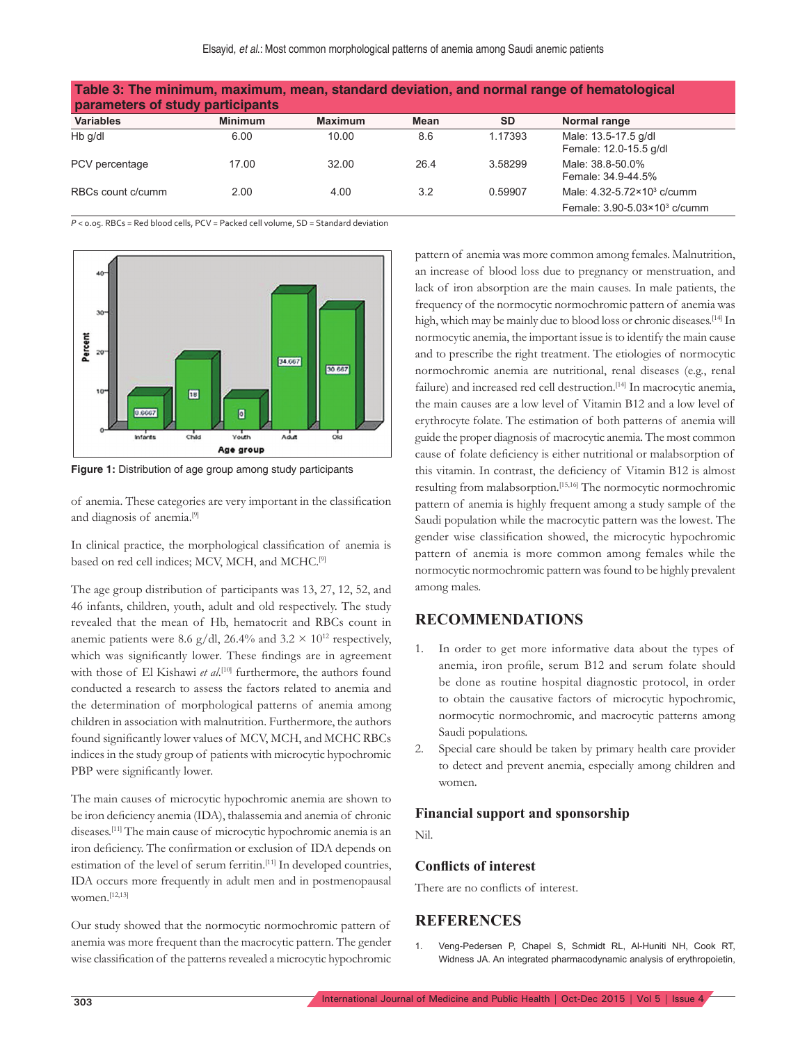| Table 3: The minimum, maximum, mean, standard deviation, and normal range of hematological<br>parameters of study participants |                |                |      |           |                                                |  |  |
|--------------------------------------------------------------------------------------------------------------------------------|----------------|----------------|------|-----------|------------------------------------------------|--|--|
| <b>Variables</b>                                                                                                               | <b>Minimum</b> | <b>Maximum</b> | Mean | <b>SD</b> | Normal range                                   |  |  |
| Hb q/dl                                                                                                                        | 6.00           | 10.00          | 8.6  | 1.17393   | Male: 13.5-17.5 g/dl<br>Female: 12.0-15.5 g/dl |  |  |
| PCV percentage                                                                                                                 | 17.00          | 32.00          | 26.4 | 3.58299   | Male: 38.8-50.0%<br>Female: 34, 9-44, 5%       |  |  |
| RBCs count c/cumm                                                                                                              | 2.00           | 4.00           | 3.2  | 0.59907   | Male: 4.32-5.72×10 <sup>3</sup> c/cumm         |  |  |
|                                                                                                                                |                |                |      |           | Female: 3.90-5.03×10 <sup>3</sup> c/cumm       |  |  |

*P* < 0.05. RBCs = Red blood cells, PCV = Packed cell volume, SD = Standard deviation



**Figure 1:** Distribution of age group among study participants

of anemia. These categories are very important in the classification and diagnosis of anemia.[9]

In clinical practice, the morphological classification of anemia is based on red cell indices; MCV, MCH, and MCHC.[9]

The age group distribution of participants was 13, 27, 12, 52, and 46 infants, children, youth, adult and old respectively. The study revealed that the mean of Hb, hematocrit and RBCs count in anemic patients were 8.6 g/dl, 26.4% and 3.2  $\times$  10<sup>12</sup> respectively, which was significantly lower. These findings are in agreement with those of El Kishawi et al.<sup>[10]</sup> furthermore, the authors found conducted a research to assess the factors related to anemia and the determination of morphological patterns of anemia among children in association with malnutrition. Furthermore, the authors found significantly lower values of MCV, MCH, and MCHC RBCs indices in the study group of patients with microcytic hypochromic PBP were significantly lower.

The main causes of microcytic hypochromic anemia are shown to be iron deficiency anemia (IDA), thalassemia and anemia of chronic diseases.[11] The main cause of microcytic hypochromic anemia is an iron deficiency. The confirmation or exclusion of IDA depends on estimation of the level of serum ferritin.<sup>[11]</sup> In developed countries, IDA occurs more frequently in adult men and in postmenopausal women.[12,13]

Our study showed that the normocytic normochromic pattern of anemia was more frequent than the macrocytic pattern. The gender wise classification of the patterns revealed a microcytic hypochromic pattern of anemia was more common among females. Malnutrition, an increase of blood loss due to pregnancy or menstruation, and lack of iron absorption are the main causes. In male patients, the frequency of the normocytic normochromic pattern of anemia was high, which may be mainly due to blood loss or chronic diseases.<sup>[14]</sup> In normocytic anemia, the important issue is to identify the main cause and to prescribe the right treatment. The etiologies of normocytic normochromic anemia are nutritional, renal diseases (e.g., renal failure) and increased red cell destruction.<sup>[14]</sup> In macrocytic anemia, the main causes are a low level of Vitamin B12 and a low level of erythrocyte folate. The estimation of both patterns of anemia will guide the proper diagnosis of macrocytic anemia. The most common cause of folate deficiency is either nutritional or malabsorption of this vitamin. In contrast, the deficiency of Vitamin B12 is almost resulting from malabsorption.[15,16] The normocytic normochromic pattern of anemia is highly frequent among a study sample of the Saudi population while the macrocytic pattern was the lowest. The gender wise classification showed, the microcytic hypochromic pattern of anemia is more common among females while the normocytic normochromic pattern was found to be highly prevalent among males.

## **RECOMMENDATIONS**

- 1. In order to get more informative data about the types of anemia, iron profile, serum B12 and serum folate should be done as routine hospital diagnostic protocol, in order to obtain the causative factors of microcytic hypochromic, normocytic normochromic, and macrocytic patterns among Saudi populations.
- 2. Special care should be taken by primary health care provider to detect and prevent anemia, especially among children and women.

#### **Financial support and sponsorship**

Nil.

#### **Conflicts of interest**

There are no conflicts of interest.

#### **REFERENCES**

1. Veng-Pedersen P, Chapel S, Schmidt RL, Al-Huniti NH, Cook RT, Widness JA. An integrated pharmacodynamic analysis of erythropoietin,